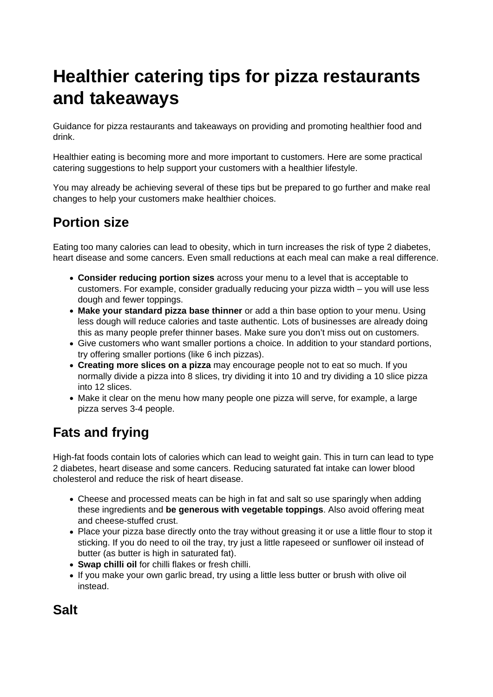# **Healthier catering tips for pizza restaurants and takeaways**

Guidance for pizza restaurants and takeaways on providing and promoting healthier food and drink.

Healthier eating is becoming more and more important to customers. Here are some practical catering suggestions to help support your customers with a healthier lifestyle.

You may already be achieving several of these tips but be prepared to go further and make real changes to help your customers make healthier choices.

# **Portion size**

Eating too many calories can lead to obesity, which in turn increases the risk of type 2 diabetes, heart disease and some cancers. Even small reductions at each meal can make a real difference.

- **Consider reducing portion sizes** across your menu to a level that is acceptable to customers. For example, consider gradually reducing your pizza width – you will use less dough and fewer toppings.
- **Make your standard pizza base thinner** or add a thin base option to your menu. Using less dough will reduce calories and taste authentic. Lots of businesses are already doing this as many people prefer thinner bases. Make sure you don't miss out on customers.
- Give customers who want smaller portions a choice. In addition to your standard portions, try offering smaller portions (like 6 inch pizzas).
- **Creating more slices on a pizza** may encourage people not to eat so much. If you normally divide a pizza into 8 slices, try dividing it into 10 and try dividing a 10 slice pizza into 12 slices.
- Make it clear on the menu how many people one pizza will serve, for example, a large pizza serves 3-4 people.

# **Fats and frying**

High-fat foods contain lots of calories which can lead to weight gain. This in turn can lead to type 2 diabetes, heart disease and some cancers. Reducing saturated fat intake can lower blood cholesterol and reduce the risk of heart disease.

- Cheese and processed meats can be high in fat and salt so use sparingly when adding these ingredients and **be generous with vegetable toppings**. Also avoid offering meat and cheese-stuffed crust.
- Place your pizza base directly onto the tray without greasing it or use a little flour to stop it sticking. If you do need to oil the tray, try just a little rapeseed or sunflower oil instead of butter (as butter is high in saturated fat).
- **Swap chilli oil** for chilli flakes or fresh chilli.
- If you make your own garlic bread, try using a little less butter or brush with olive oil instead.

**Salt**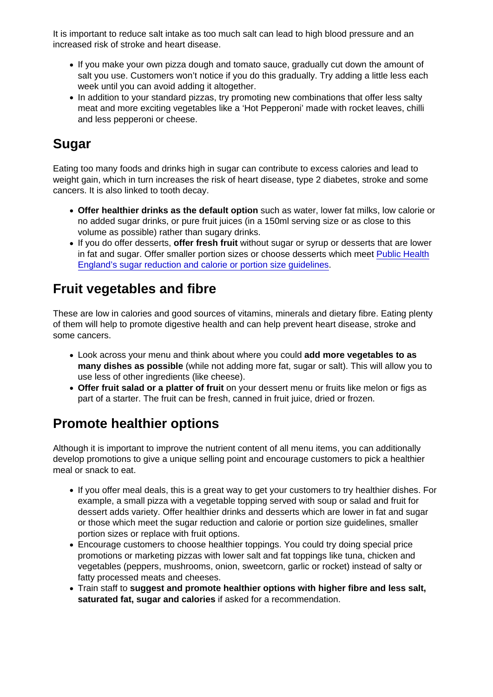It is important to reduce salt intake as too much salt can lead to high blood pressure and an increased risk of stroke and heart disease.

- If you make your own pizza dough and tomato sauce, gradually cut down the amount of salt you use. Customers won't notice if you do this gradually. Try adding a little less each week until you can avoid adding it altogether.
- In addition to your standard pizzas, try promoting new combinations that offer less salty meat and more exciting vegetables like a 'Hot Pepperoni' made with rocket leaves, chilli and less pepperoni or cheese.

### Sugar

Eating too many foods and drinks high in sugar can contribute to excess calories and lead to weight gain, which in turn increases the risk of heart disease, type 2 diabetes, stroke and some cancers. It is also linked to tooth decay.

- Offer healthier drinks as the default option such as water, lower fat milks, low calorie or no added sugar drinks, or pure fruit juices (in a 150ml serving size or as close to this volume as possible) rather than sugary drinks.
- If you do offer desserts, offer fresh fruit without sugar or syrup or desserts that are lower in fat and sugar. Offer smaller portion sizes or choose desserts which meet [Public Health](https://www.gov.uk/government/publications/sugar-reduction-achieving-the-20) [England's sugar reduction and calorie or portion size guidelines](https://www.gov.uk/government/publications/sugar-reduction-achieving-the-20).

#### Fruit vegetables and fibre

These are low in calories and good sources of vitamins, minerals and dietary fibre. Eating plenty of them will help to promote digestive health and can help prevent heart disease, stroke and some cancers.

- Look across your menu and think about where you could add more vegetables to as many dishes as possible (while not adding more fat, sugar or salt). This will allow you to use less of other ingredients (like cheese).
- Offer fruit salad or a platter of fruit on your dessert menu or fruits like melon or figs as part of a starter. The fruit can be fresh, canned in fruit juice, dried or frozen.

# Promote healthier options

Although it is important to improve the nutrient content of all menu items, you can additionally develop promotions to give a unique selling point and encourage customers to pick a healthier meal or snack to eat.

- If you offer meal deals, this is a great way to get your customers to try healthier dishes. For example, a small pizza with a vegetable topping served with soup or salad and fruit for dessert adds variety. Offer healthier drinks and desserts which are lower in fat and sugar or those which meet the sugar reduction and calorie or portion size guidelines, smaller portion sizes or replace with fruit options.
- Encourage customers to choose healthier toppings. You could try doing special price promotions or marketing pizzas with lower salt and fat toppings like tuna, chicken and vegetables (peppers, mushrooms, onion, sweetcorn, garlic or rocket) instead of salty or fatty processed meats and cheeses.
- Train staff to suggest and promote healthier options with higher fibre and less salt, saturated fat, sugar and calories if asked for a recommendation.